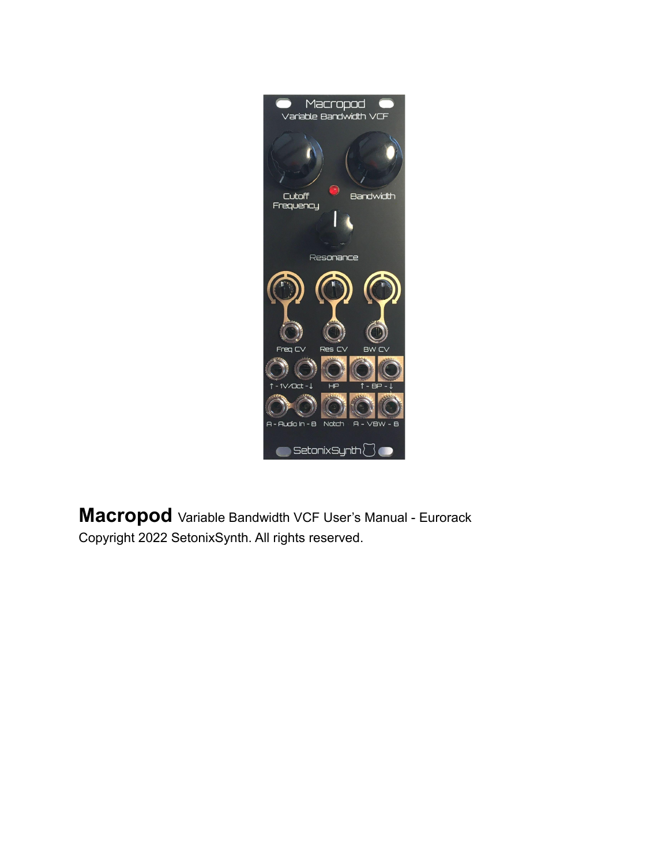

**Macropod** Variable Bandwidth VCF User's Manual - Eurorack Copyright 2022 SetonixSynth. All rights reserved.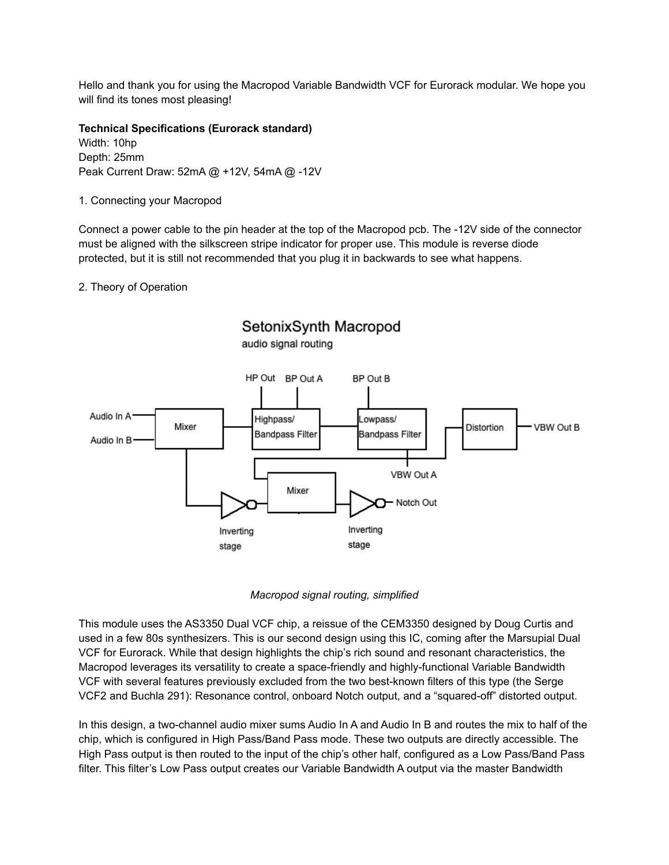Hello and thank you for using the Macropod Variable Bandwidth VCF for Eurorack modular. We hope you will find its tones most pleasing!

**Technical Specifications (Eurorack standard)** Width: 10hp Depth: 25mm Peak Current Draw: 52mA @ +12V, 54mA @ -12V

1. Connecting your Macropod

Connect a power cable to the pin header at the top of the Macropod pcb. The -12V side of the connector must be aligned with the silkscreen stripe indicator for proper use. This module is reverse diode protected, but it is still not recommended that you plug it in backwards to see what happens.

2. Theory of Operation





This module uses the AS3350 Dual VCF chip, a reissue of the CEM3350 designed by Doug Curtis and used in a few 80s synthesizers. This is our second design using this IC, coming after the Marsupial Dual VCF for Eurorack. While that design highlights the chip's rich sound and resonant characteristics, the Macropod leverages its versatility to create a space-friendly and highly-functional Variable Bandwidth VCF with several features previously excluded from the two best-known filters of this type (the Serge VCF2 and Buchla 291): Resonance control, onboard Notch output, and a "squared-off" distorted output.

In this design, a two-channel audio mixer sums Audio In A and Audio In B and routes the mix to half of the chip, which is configured in High Pass/Band Pass mode. These two outputs are directly accessible. The High Pass output is then routed to the input of the chip's other half, configured as a Low Pass/Band Pass filter. This filter's Low Pass output creates our Variable Bandwidth A output via the master Bandwidth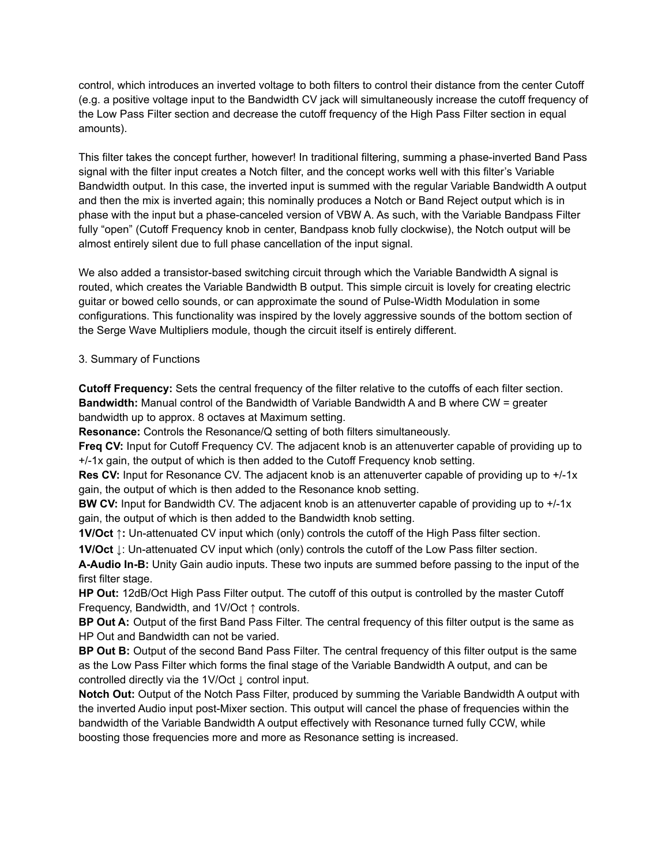control, which introduces an inverted voltage to both filters to control their distance from the center Cutoff (e.g. a positive voltage input to the Bandwidth CV jack will simultaneously increase the cutoff frequency of the Low Pass Filter section and decrease the cutoff frequency of the High Pass Filter section in equal amounts).

This filter takes the concept further, however! In traditional filtering, summing a phase-inverted Band Pass signal with the filter input creates a Notch filter, and the concept works well with this filter's Variable Bandwidth output. In this case, the inverted input is summed with the regular Variable Bandwidth A output and then the mix is inverted again; this nominally produces a Notch or Band Reject output which is in phase with the input but a phase-canceled version of VBW A. As such, with the Variable Bandpass Filter fully "open" (Cutoff Frequency knob in center, Bandpass knob fully clockwise), the Notch output will be almost entirely silent due to full phase cancellation of the input signal.

We also added a transistor-based switching circuit through which the Variable Bandwidth A signal is routed, which creates the Variable Bandwidth B output. This simple circuit is lovely for creating electric guitar or bowed cello sounds, or can approximate the sound of Pulse-Width Modulation in some configurations. This functionality was inspired by the lovely aggressive sounds of the bottom section of the Serge Wave Multipliers module, though the circuit itself is entirely different.

# 3. Summary of Functions

**Cutoff Frequency:** Sets the central frequency of the filter relative to the cutoffs of each filter section. **Bandwidth:** Manual control of the Bandwidth of Variable Bandwidth A and B where CW = greater bandwidth up to approx. 8 octaves at Maximum setting.

**Resonance:** Controls the Resonance/Q setting of both filters simultaneously.

**Freq CV:** Input for Cutoff Frequency CV. The adjacent knob is an attenuverter capable of providing up to +/-1x gain, the output of which is then added to the Cutoff Frequency knob setting.

**Res CV:** Input for Resonance CV. The adjacent knob is an attenuverter capable of providing up to +/-1x gain, the output of which is then added to the Resonance knob setting.

**BW CV:** Input for Bandwidth CV. The adjacent knob is an attenuverter capable of providing up to  $+/-1x$ gain, the output of which is then added to the Bandwidth knob setting.

**1V/Oct ↑:** Un-attenuated CV input which (only) controls the cutoff of the High Pass filter section.

**1V/Oct ↓**: Un-attenuated CV input which (only) controls the cutoff of the Low Pass filter section.

**A-Audio In-B:** Unity Gain audio inputs. These two inputs are summed before passing to the input of the first filter stage.

**HP Out:** 12dB/Oct High Pass Filter output. The cutoff of this output is controlled by the master Cutoff Frequency, Bandwidth, and 1V/Oct ↑ controls.

**BP Out A:** Output of the first Band Pass Filter. The central frequency of this filter output is the same as HP Out and Bandwidth can not be varied.

**BP Out B:** Output of the second Band Pass Filter. The central frequency of this filter output is the same as the Low Pass Filter which forms the final stage of the Variable Bandwidth A output, and can be controlled directly via the 1V/Oct ↓ control input.

**Notch Out:** Output of the Notch Pass Filter, produced by summing the Variable Bandwidth A output with the inverted Audio input post-Mixer section. This output will cancel the phase of frequencies within the bandwidth of the Variable Bandwidth A output effectively with Resonance turned fully CCW, while boosting those frequencies more and more as Resonance setting is increased.